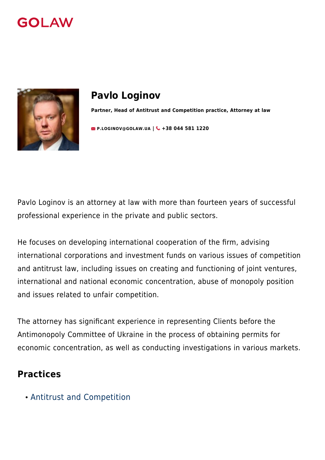



# **Pavlo Loginov**

**Partner, Head of Antitrust and Competition practice, Attorney at law**

**[P.LOGINOV@GOLAW.UA](mailto:info@golaw.ua) | +38 044 581 1220**

Pavlo Loginov is an attorney at law with more than fourteen years of successful professional experience in the private and public sectors.

He focuses on developing international cooperation of the firm, advising international corporations and investment funds on various issues of competition and antitrust law, including issues on creating and functioning of joint ventures, international and national economic concentration, abuse of monopoly position and issues related to unfair competition.

The attorney has significant experience in representing Clients before the Antimonopoly Committee of Ukraine in the process of obtaining permits for economic concentration, as well as conducting investigations in various markets.

### **Practices**

[Antitrust and Competition](#page--1-0)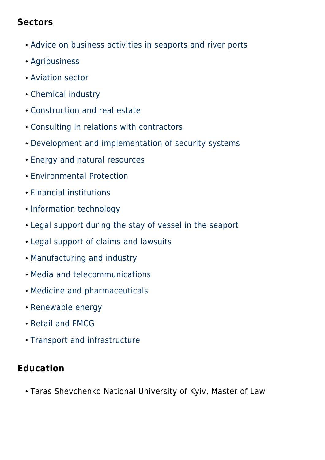### **Sectors**

- [Advice on business activities in seaports and river ports](#page--1-0)
- [Agribusiness](#page--1-0)
- [Aviation sector](#page--1-0)
- [Chemical industry](#page--1-0)
- [Construction and real estate](#page--1-0)
- [Consulting in relations with contractors](#page--1-0)
- [Development and implementation of security systems](#page--1-0)
- [Energy and natural resources](#page--1-0)
- [Environmental Protection](#page--1-0)
- [Financial institutions](#page--1-0)
- **· [Information technology](#page--1-0)**
- [Legal support during the stay of vessel in the seaport](#page--1-0)
- [Legal support of claims and lawsuits](#page--1-0)
- [Manufacturing and industry](#page--1-0)
- [Media and telecommunications](#page--1-0)
- [Medicine and pharmaceuticals](#page--1-0)
- [Renewable energy](#page--1-0)
- [Retail and FMCG](#page--1-0)
- [Transport and infrastructure](#page--1-0)

## **Education**

Taras Shevchenko National University of Kyiv, Master of Law